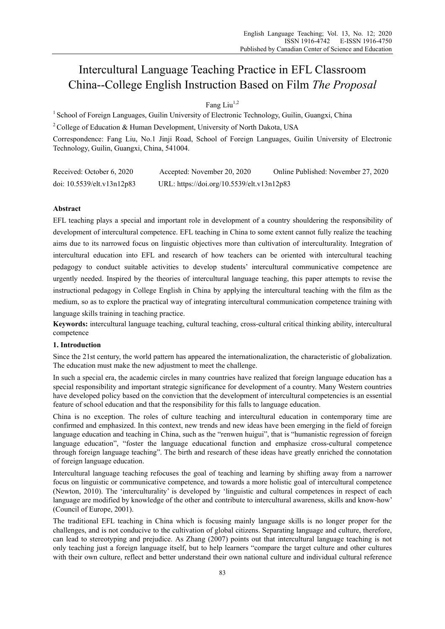# Intercultural Language Teaching Practice in EFL Classroom China--College English Instruction Based on Film *The Proposal*

# Fang Liu $^{1,2}$

<sup>1</sup> School of Foreign Languages, Guilin University of Electronic Technology, Guilin, Guangxi, China

<sup>2</sup> College of Education & Human Development, University of North Dakota, USA

Correspondence: Fang Liu, No.1 Jinji Road, School of Foreign Languages, Guilin University of Electronic Technology, Guilin, Guangxi, China, 541004.

| Received: October 6, 2020  | Accepted: November 20, 2020                | Online Published: November 27, 2020 |
|----------------------------|--------------------------------------------|-------------------------------------|
| doi: 10.5539/elt.v13n12p83 | URL: https://doi.org/10.5539/elt.v13n12p83 |                                     |

# **Abstract**

EFL teaching plays a special and important role in development of a country shouldering the responsibility of development of intercultural competence. EFL teaching in China to some extent cannot fully realize the teaching aims due to its narrowed focus on linguistic objectives more than cultivation of interculturality. Integration of intercultural education into EFL and research of how teachers can be oriented with intercultural teaching pedagogy to conduct suitable activities to develop students' intercultural communicative competence are urgently needed. Inspired by the theories of intercultural language teaching, this paper attempts to revise the instructional pedagogy in College English in China by applying the intercultural teaching with the film as the medium, so as to explore the practical way of integrating intercultural communication competence training with language skills training in teaching practice.

**Keywords:** intercultural language teaching, cultural teaching, cross-cultural critical thinking ability, intercultural competence

# **1. Introduction**

Since the 21st century, the world pattern has appeared the internationalization, the characteristic of globalization. The education must make the new adjustment to meet the challenge.

In such a special era, the academic circles in many countries have realized that foreign language education has a special responsibility and important strategic significance for development of a country. Many Western countries have developed policy based on the conviction that the development of intercultural competencies is an essential feature of school education and that the responsibility for this falls to language education.

China is no exception. The roles of culture teaching and intercultural education in contemporary time are confirmed and emphasized. In this context, new trends and new ideas have been emerging in the field of foreign language education and teaching in China, such as the "renwen huigui", that is "humanistic regression of foreign language education", "foster the language educational function and emphasize cross-cultural competence through foreign language teaching". The birth and research of these ideas have greatly enriched the connotation of foreign language education.

Intercultural language teaching refocuses the goal of teaching and learning by shifting away from a narrower focus on linguistic or communicative competence, and towards a more holistic goal of intercultural competence (Newton, 2010). The 'interculturality' is developed by 'linguistic and cultural competences in respect of each language are modified by knowledge of the other and contribute to intercultural awareness, skills and know-how' (Council of Europe, 2001).

The traditional EFL teaching in China which is focusing mainly language skills is no longer proper for the challenges, and is not conducive to the cultivation of global citizens. Separating language and culture, therefore, can lead to stereotyping and prejudice. As Zhang (2007) points out that intercultural language teaching is not only teaching just a foreign language itself, but to help learners "compare the target culture and other cultures with their own culture, reflect and better understand their own national culture and individual cultural reference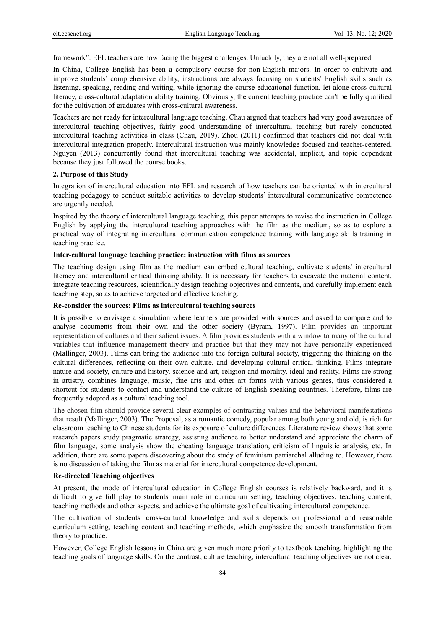framework". EFL teachers are now facing the biggest challenges. Unluckily, they are not all well-prepared.

In China, College English has been a compulsory course for non-English majors. In order to cultivate and improve students' comprehensive ability, instructions are always focusing on students' English skills such as listening, speaking, reading and writing, while ignoring the course educational function, let alone cross cultural literacy, cross-cultural adaptation ability training. Obviously, the current teaching practice can't be fully qualified for the cultivation of graduates with cross-cultural awareness.

Teachers are not ready for intercultural language teaching. Chau argued that teachers had very good awareness of intercultural teaching objectives, fairly good understanding of intercultural teaching but rarely conducted intercultural teaching activities in class (Chau, 2019). Zhou (2011) confirmed that teachers did not deal with intercultural integration properly. Intercultural instruction was mainly knowledge focused and teacher-centered. Nguyen (2013) concurrently found that intercultural teaching was accidental, implicit, and topic dependent because they just followed the course books.

#### **2. Purpose of this Study**

Integration of intercultural education into EFL and research of how teachers can be oriented with intercultural teaching pedagogy to conduct suitable activities to develop students' intercultural communicative competence are urgently needed.

Inspired by the theory of intercultural language teaching, this paper attempts to revise the instruction in College English by applying the intercultural teaching approaches with the film as the medium, so as to explore a practical way of integrating intercultural communication competence training with language skills training in teaching practice.

#### **Inter-cultural language teaching practice: instruction with films as sources**

The teaching design using film as the medium can embed cultural teaching, cultivate students' intercultural literacy and intercultural critical thinking ability. It is necessary for teachers to excavate the material content, integrate teaching resources, scientifically design teaching objectives and contents, and carefully implement each teaching step, so as to achieve targeted and effective teaching.

#### **Re-consider the sources: Films as intercultural teaching sources**

It is possible to envisage a simulation where learners are provided with sources and asked to compare and to analyse documents from their own and the other society (Byram, 1997). Film provides an important representation of cultures and their salient issues. A film provides students with a window to many of the cultural variables that influence management theory and practice but that they may not have personally experienced (Mallinger, 2003). Films can bring the audience into the foreign cultural society, triggering the thinking on the cultural differences, reflecting on their own culture, and developing cultural critical thinking. Films integrate nature and society, culture and history, science and art, religion and morality, ideal and reality. Films are strong in artistry, combines language, music, fine arts and other art forms with various genres, thus considered a shortcut for students to contact and understand the culture of English-speaking countries. Therefore, films are frequently adopted as a cultural teaching tool.

The chosen film should provide several clear examples of contrasting values and the behavioral manifestations that result (Mallinger, 2003). The Proposal, as a romantic comedy, popular among both young and old, is rich for classroom teaching to Chinese students for its exposure of culture differences. Literature review shows that some research papers study pragmatic strategy, assisting audience to better understand and appreciate the charm of film language, some analysis show the cheating language translation, criticism of linguistic analysis, etc. In addition, there are some papers discovering about the study of feminism patriarchal alluding to. However, there is no discussion of taking the film as material for intercultural competence development.

#### **Re-directed Teaching objectives**

At present, the mode of intercultural education in College English courses is relatively backward, and it is difficult to give full play to students' main role in curriculum setting, teaching objectives, teaching content, teaching methods and other aspects, and achieve the ultimate goal of cultivating intercultural competence.

The cultivation of students' cross-cultural knowledge and skills depends on professional and reasonable curriculum setting, teaching content and teaching methods, which emphasize the smooth transformation from theory to practice.

However, College English lessons in China are given much more priority to textbook teaching, highlighting the teaching goals of language skills. On the contrast, culture teaching, intercultural teaching objectives are not clear,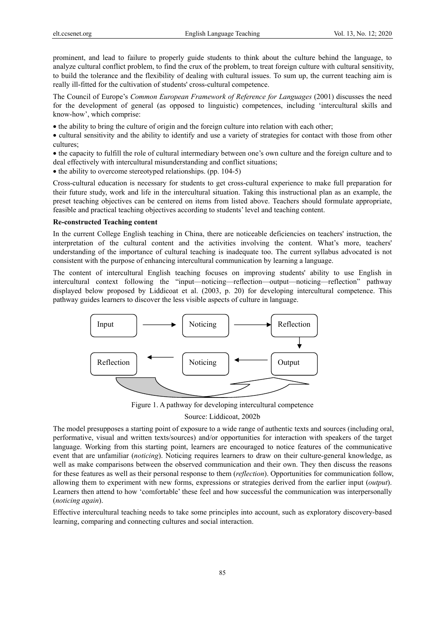prominent, and lead to failure to properly guide students to think about the culture behind the language, to analyze cultural conflict problem, to find the crux of the problem, to treat foreign culture with cultural sensitivity, to build the tolerance and the flexibility of dealing with cultural issues. To sum up, the current teaching aim is really ill-fitted for the cultivation of students' cross-cultural competence.

The Council of Europe's *Common European Framework of Reference for Languages* (2001) discusses the need for the development of general (as opposed to linguistic) competences, including 'intercultural skills and know-how', which comprise:

• the ability to bring the culture of origin and the foreign culture into relation with each other;

• cultural sensitivity and the ability to identify and use a variety of strategies for contact with those from other cultures;

• the capacity to fulfill the role of cultural intermediary between one's own culture and the foreign culture and to deal effectively with intercultural misunderstanding and conflict situations;

• the ability to overcome stereotyped relationships. (pp. 104-5)

Cross-cultural education is necessary for students to get cross-cultural experience to make full preparation for their future study, work and life in the intercultural situation. Taking this instructional plan as an example, the preset teaching objectives can be centered on items from listed above. Teachers should formulate appropriate, feasible and practical teaching objectives according to students' level and teaching content.

#### **Re-constructed Teaching content**

In the current College English teaching in China, there are noticeable deficiencies on teachers' instruction, the interpretation of the cultural content and the activities involving the content. What's more, teachers' understanding of the importance of cultural teaching is inadequate too. The current syllabus advocated is not consistent with the purpose of enhancing intercultural communication by learning a language.

The content of intercultural English teaching focuses on improving students' ability to use English in intercultural context following the "input—noticing—reflection—output—noticing—reflection" pathway displayed below proposed by Liddicoat et al. (2003, p. 20) for developing intercultural competence. This pathway guides learners to discover the less visible aspects of culture in language.



Figure 1. A pathway for developing intercultural competence

Source: Liddicoat, 2002b

The model presupposes a starting point of exposure to a wide range of authentic texts and sources (including oral, performative, visual and written texts/sources) and/or opportunities for interaction with speakers of the target language. Working from this starting point, learners are encouraged to notice features of the communicative event that are unfamiliar (*noticing*). Noticing requires learners to draw on their culture-general knowledge, as well as make comparisons between the observed communication and their own. They then discuss the reasons for these features as well as their personal response to them (*reflection*). Opportunities for communication follow, allowing them to experiment with new forms, expressions or strategies derived from the earlier input (*output*). Learners then attend to how 'comfortable' these feel and how successful the communication was interpersonally (*noticing again*).

Effective intercultural teaching needs to take some principles into account, such as exploratory discovery-based learning, comparing and connecting cultures and social interaction.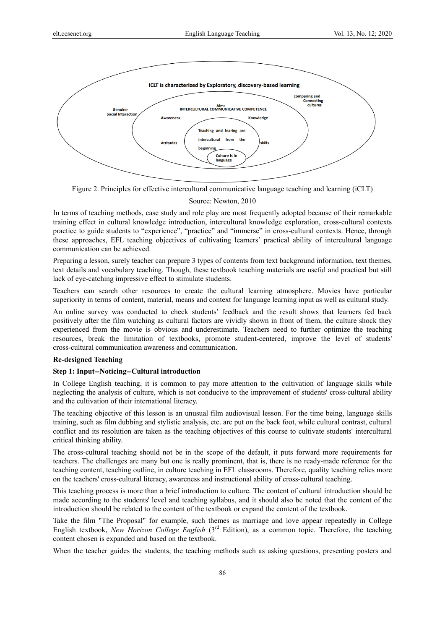



Figure 2. Principles for effective intercultural communicative language teaching and learning (iCLT)

#### Source: Newton, 2010

In terms of teaching methods, case study and role play are most frequently adopted because of their remarkable training effect in cultural knowledge introduction, intercultural knowledge exploration, cross-cultural contexts practice to guide students to "experience", "practice" and "immerse" in cross-cultural contexts. Hence, through these approaches, EFL teaching objectives of cultivating learners' practical ability of intercultural language communication can be achieved.

Preparing a lesson, surely teacher can prepare 3 types of contents from text background information, text themes, text details and vocabulary teaching. Though, these textbook teaching materials are useful and practical but still lack of eye-catching impressive effect to stimulate students.

Teachers can search other resources to create the cultural learning atmosphere. Movies have particular superiority in terms of content, material, means and context for language learning input as well as cultural study.

An online survey was conducted to check students' feedback and the result shows that learners fed back positively after the film watching as cultural factors are vividly shown in front of them, the culture shock they experienced from the movie is obvious and underestimate. Teachers need to further optimize the teaching resources, break the limitation of textbooks, promote student-centered, improve the level of students' cross-cultural communication awareness and communication.

## **Re-designed Teaching**

# **Step 1: Input--Noticing--Cultural introduction**

In College English teaching, it is common to pay more attention to the cultivation of language skills while neglecting the analysis of culture, which is not conducive to the improvement of students' cross-cultural ability and the cultivation of their international literacy.

The teaching objective of this lesson is an unusual film audiovisual lesson. For the time being, language skills training, such as film dubbing and stylistic analysis, etc. are put on the back foot, while cultural contrast, cultural conflict and its resolution are taken as the teaching objectives of this course to cultivate students' intercultural critical thinking ability.

The cross-cultural teaching should not be in the scope of the default, it puts forward more requirements for teachers. The challenges are many but one is really prominent, that is, there is no ready-made reference for the teaching content, teaching outline, in culture teaching in EFL classrooms. Therefore, quality teaching relies more on the teachers' cross-cultural literacy, awareness and instructional ability of cross-cultural teaching.

This teaching process is more than a brief introduction to culture. The content of cultural introduction should be made according to the students' level and teaching syllabus, and it should also be noted that the content of the introduction should be related to the content of the textbook or expand the content of the textbook.

Take the film "The Proposal" for example, such themes as marriage and love appear repeatedly in College English textbook, *New Horizon College English* (3<sup>rd</sup> Edition), as a common topic. Therefore, the teaching content chosen is expanded and based on the textbook.

When the teacher guides the students, the teaching methods such as asking questions, presenting posters and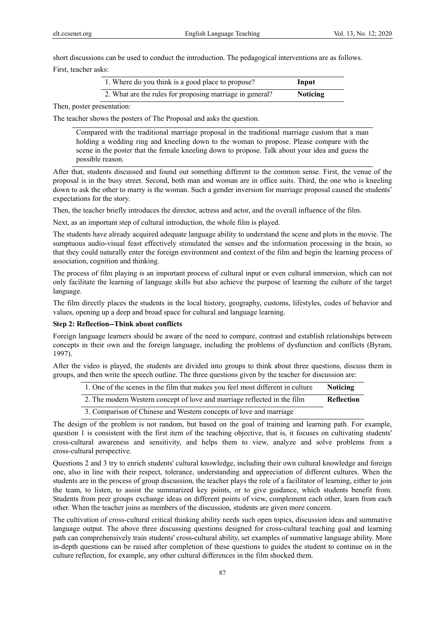short discussions can be used to conduct the introduction. The pedagogical interventions are as follows.

First, teacher asks:

| 1. Where do you think is a good place to propose?        | Input           |
|----------------------------------------------------------|-----------------|
| 2. What are the rules for proposing marriage in general? | <b>Noticing</b> |

Then, poster presentation:

The teacher shows the posters of The Proposal and asks the question.

Compared with the traditional marriage proposal in the traditional marriage custom that a man holding a wedding ring and kneeling down to the woman to propose. Please compare with the scene in the poster that the female kneeling down to propose. Talk about your idea and guess the possible reason.

After that, students discussed and found out something different to the common sense. First, the venue of the proposal is in the busy street. Second, both man and woman are in office suits. Third, the one who is kneeling down to ask the other to marry is the woman. Such a gender inversion for marriage proposal caused the students' expectations for the story.

Then, the teacher briefly introduces the director, actress and actor, and the overall influence of the film.

Next, as an important step of cultural introduction, the whole film is played.

The students have already acquired adequate language ability to understand the scene and plots in the movie. The sumptuous audio-visual feast effectively stimulated the senses and the information processing in the brain, so that they could naturally enter the foreign environment and context of the film and begin the learning process of association, cognition and thinking.

The process of film playing is an important process of cultural input or even cultural immersion, which can not only facilitate the learning of language skills but also achieve the purpose of learning the culture of the target language.

The film directly places the students in the local history, geography, customs, lifestyles, codes of behavior and values, opening up a deep and broad space for cultural and language learning.

## **Step 2: Reflection--Think about conflicts**

Foreign language learners should be aware of the need to compare, contrast and establish relationships between concepts in their own and the foreign language, including the problems of dysfunction and conflicts (Byram, 1997).

After the video is played, the students are divided into groups to think about three questions, discuss them in groups, and then write the speech outline. The three questions given by the teacher for discussion are:

| 1. One of the scenes in the film that makes you feel most different in culture | <b>Noticing</b> |
|--------------------------------------------------------------------------------|-----------------|
| 2. The modern Western concept of love and marriage reflected in the film       | Reflection      |
| 3. Comparison of Chinese and Western concepts of love and marriage             |                 |

The design of the problem is not random, but based on the goal of training and learning path. For example, question 1 is consistent with the first item of the teaching objective, that is, it focuses on cultivating students' cross-cultural awareness and sensitivity, and helps them to view, analyze and solve problems from a cross-cultural perspective.

Questions 2 and 3 try to enrich students' cultural knowledge, including their own cultural knowledge and foreign one, also in line with their respect, tolerance, understanding and appreciation of different cultures. When the students are in the process of group discussion, the teacher plays the role of a facilitator of learning, either to join the team, to listen, to assist the summarized key points, or to give guidance, which students benefit from. Students from peer groups exchange ideas on different points of view, complement each other, learn from each other. When the teacher joins as members of the discussion, students are given more concern.

The cultivation of cross-cultural critical thinking ability needs such open topics, discussion ideas and summative language output. The above three discussing questions designed for cross-cultural teaching goal and learning path can comprehensively train students' cross-cultural ability, set examples of summative language ability. More in-depth questions can be raised after completion of these questions to guides the student to continue on in the culture reflection, for example, any other cultural differences in the film shocked them.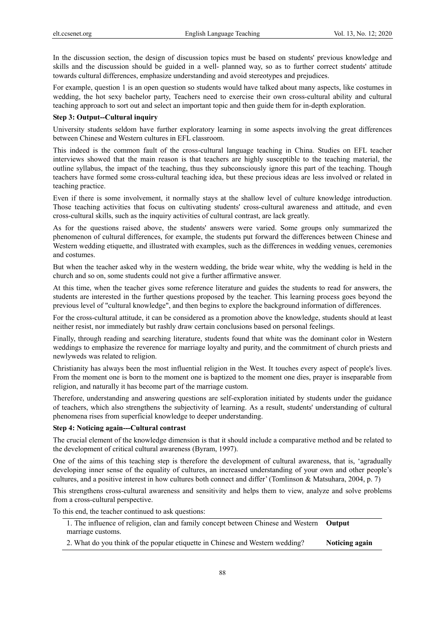In the discussion section, the design of discussion topics must be based on students' previous knowledge and skills and the discussion should be guided in a well- planned way, so as to further correct students' attitude towards cultural differences, emphasize understanding and avoid stereotypes and prejudices.

For example, question 1 is an open question so students would have talked about many aspects, like costumes in wedding, the hot sexy bachelor party, Teachers need to exercise their own cross-cultural ability and cultural teaching approach to sort out and select an important topic and then guide them for in-depth exploration.

#### **Step 3: Output--Cultural inquiry**

University students seldom have further exploratory learning in some aspects involving the great differences between Chinese and Western cultures in EFL classroom.

This indeed is the common fault of the cross-cultural language teaching in China. Studies on EFL teacher interviews showed that the main reason is that teachers are highly susceptible to the teaching material, the outline syllabus, the impact of the teaching, thus they subconsciously ignore this part of the teaching. Though teachers have formed some cross-cultural teaching idea, but these precious ideas are less involved or related in teaching practice.

Even if there is some involvement, it normally stays at the shallow level of culture knowledge introduction. Those teaching activities that focus on cultivating students' cross-cultural awareness and attitude, and even cross-cultural skills, such as the inquiry activities of cultural contrast, are lack greatly.

As for the questions raised above, the students' answers were varied. Some groups only summarized the phenomenon of cultural differences, for example, the students put forward the differences between Chinese and Western wedding etiquette, and illustrated with examples, such as the differences in wedding venues, ceremonies and costumes.

But when the teacher asked why in the western wedding, the bride wear white, why the wedding is held in the church and so on, some students could not give a further affirmative answer.

At this time, when the teacher gives some reference literature and guides the students to read for answers, the students are interested in the further questions proposed by the teacher. This learning process goes beyond the previous level of "cultural knowledge", and then begins to explore the background information of differences.

For the cross-cultural attitude, it can be considered as a promotion above the knowledge, students should at least neither resist, nor immediately but rashly draw certain conclusions based on personal feelings.

Finally, through reading and searching literature, students found that white was the dominant color in Western weddings to emphasize the reverence for marriage loyalty and purity, and the commitment of church priests and newlyweds was related to religion.

Christianity has always been the most influential religion in the West. It touches every aspect of people's lives. From the moment one is born to the moment one is baptized to the moment one dies, prayer is inseparable from religion, and naturally it has become part of the marriage custom.

Therefore, understanding and answering questions are self-exploration initiated by students under the guidance of teachers, which also strengthens the subjectivity of learning. As a result, students' understanding of cultural phenomena rises from superficial knowledge to deeper understanding.

#### **Step 4: Noticing again---Cultural contrast**

The crucial element of the knowledge dimension is that it should include a comparative method and be related to the development of critical cultural awareness (Byram, 1997).

One of the aims of this teaching step is therefore the development of cultural awareness, that is, 'agradually developing inner sense of the equality of cultures, an increased understanding of your own and other people's cultures, and a positive interest in how cultures both connect and differ' (Tomlinson & Matsuhara, 2004, p. 7)

This strengthens cross-cultural awareness and sensitivity and helps them to view, analyze and solve problems from a cross-cultural perspective.

To this end, the teacher continued to ask questions:

1. The influence of religion, clan and family concept between Chinese and Western marriage customs. **Output** 

2. What do you think of the popular etiquette in Chinese and Western wedding? Noticing again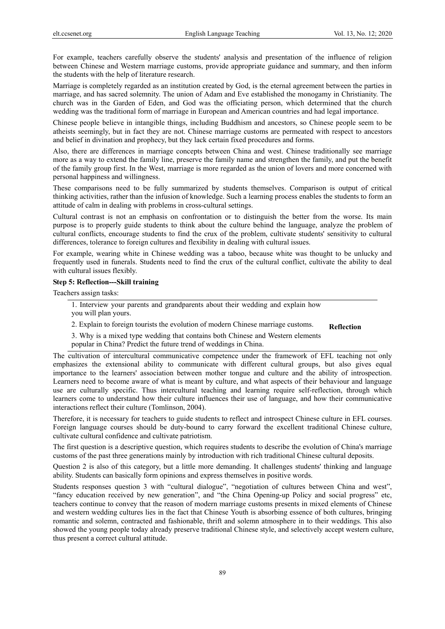For example, teachers carefully observe the students' analysis and presentation of the influence of religion between Chinese and Western marriage customs, provide appropriate guidance and summary, and then inform the students with the help of literature research.

Marriage is completely regarded as an institution created by God, is the eternal agreement between the parties in marriage, and has sacred solemnity. The union of Adam and Eve established the monogamy in Christianity. The church was in the Garden of Eden, and God was the officiating person, which determined that the church wedding was the traditional form of marriage in European and American countries and had legal importance.

Chinese people believe in intangible things, including Buddhism and ancestors, so Chinese people seem to be atheists seemingly, but in fact they are not. Chinese marriage customs are permeated with respect to ancestors and belief in divination and prophecy, but they lack certain fixed procedures and forms.

Also, there are differences in marriage concepts between China and west. Chinese traditionally see marriage more as a way to extend the family line, preserve the family name and strengthen the family, and put the benefit of the family group first. In the West, marriage is more regarded as the union of lovers and more concerned with personal happiness and willingness.

These comparisons need to be fully summarized by students themselves. Comparison is output of critical thinking activities, rather than the infusion of knowledge. Such a learning process enables the students to form an attitude of calm in dealing with problems in cross-cultural settings.

Cultural contrast is not an emphasis on confrontation or to distinguish the better from the worse. Its main purpose is to properly guide students to think about the culture behind the language, analyze the problem of cultural conflicts, encourage students to find the crux of the problem, cultivate students' sensitivity to cultural differences, tolerance to foreign cultures and flexibility in dealing with cultural issues.

For example, wearing white in Chinese wedding was a taboo, because white was thought to be unlucky and frequently used in funerals. Students need to find the crux of the cultural conflict, cultivate the ability to deal with cultural issues flexibly.

#### **Step 5: Reflection---Skill training**

Teachers assign tasks:

1. Interview your parents and grandparents about their wedding and explain how you will plan yours.

**Reflection** 2. Explain to foreign tourists the evolution of modern Chinese marriage customs.

3. Why is a mixed type wedding that contains both Chinese and Western elements

popular in China? Predict the future trend of weddings in China.

The cultivation of intercultural communicative competence under the framework of EFL teaching not only emphasizes the extensional ability to communicate with different cultural groups, but also gives equal importance to the learners' association between mother tongue and culture and the ability of introspection. Learners need to become aware of what is meant by culture, and what aspects of their behaviour and language use are culturally specific. Thus intercultural teaching and learning require self-reflection, through which learners come to understand how their culture influences their use of language, and how their communicative interactions reflect their culture (Tomlinson, 2004).

Therefore, it is necessary for teachers to guide students to reflect and introspect Chinese culture in EFL courses. Foreign language courses should be duty-bound to carry forward the excellent traditional Chinese culture, cultivate cultural confidence and cultivate patriotism.

The first question is a descriptive question, which requires students to describe the evolution of China's marriage customs of the past three generations mainly by introduction with rich traditional Chinese cultural deposits.

Question 2 is also of this category, but a little more demanding. It challenges students' thinking and language ability. Students can basically form opinions and express themselves in positive words.

Students responses question 3 with "cultural dialogue", "negotiation of cultures between China and west", "fancy education received by new generation", and "the China Opening-up Policy and social progress" etc, teachers continue to convey that the reason of modern marriage customs presents in mixed elements of Chinese and western wedding cultures lies in the fact that Chinese Youth is absorbing essence of both cultures, bringing romantic and solemn, contracted and fashionable, thrift and solemn atmosphere in to their weddings. This also showed the young people today already preserve traditional Chinese style, and selectively accept western culture, thus present a correct cultural attitude.